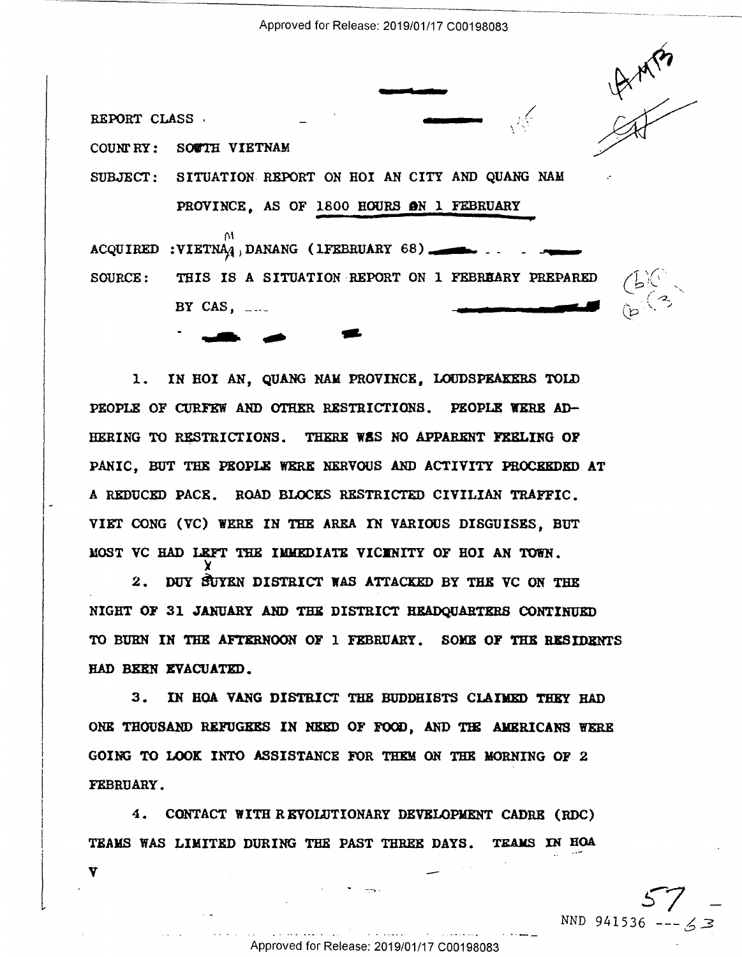Approved for Release: 2019/01/17 C00198083

REPORT CLASS.

Y

COUNTRY: SOUTH VIETNAM

SUBJECT: SITUATION REPORT ON HOI AN CITY AND QUANG NAM

PROVINCE. AS OF 1800 HOURS ON 1 FEBRUARY

ACQUIRED : VIETNA $q_1$ , DANANG (1FEBRUARY 68) SOURCE: THIS IS A SITUATION REPORT ON 1 FEBREARY PREPARED BY CAS,  $\ldots$ 



 $\begin{matrix}p\end{matrix}$ 

1. IN HOI AN, QUANG NAM PROVINCE, LOUDSPEAKERS TOLD PEOPLE OF CURFEW AND OTHER RESTRICTIONS. PEOPLE WERE AD-HERING TO RESTRICTIONS. THERE WAS NO APPARENT FEELING OF PANIC. BUT THE PEOPLE WERE NERVOUS AND ACTIVITY PROCEEDED AT A REDUCED PACE. ROAD BLOCKS RESTRICTED CIVILIAN TRAFFIC. VIET CONG (VC) WERE IN THE AREA IN VARIOUS DISGUISES, BUT MOST VC HAD LEFT THE IMMEDIATE VICENITY OF HOI AN TOWN.

2. DUY SUYEN DISTRICT WAS ATTACKED BY THE VC ON THE NIGHT OF 31 JANUARY AND THE DISTRICT HEADQUARTERS CONTINUED TO BURN IN THE AFTERNOON OF 1 FEBRUARY. SOME OF THE RESIDENTS HAD BEEN EVACUATED.

3. IN HOA VANG DISTRICT THE BUDDHISTS CLAIMED THEY HAD ONE THOUSAND REFUGEES IN NEED OF FOOD, AND THE AMERICANS WERE GOING TO LOOK INTO ASSISTANCE FOR THEM ON THE MORNING OF 2 FEBRUARY.

4. CONTACT WITH REVOLUTIONARY DEVELOPMENT CADRE (RDC) TEAMS WAS LIMITED DURING THE PAST THREE DAYS. TEAMS IN HOA

NND 941536 -